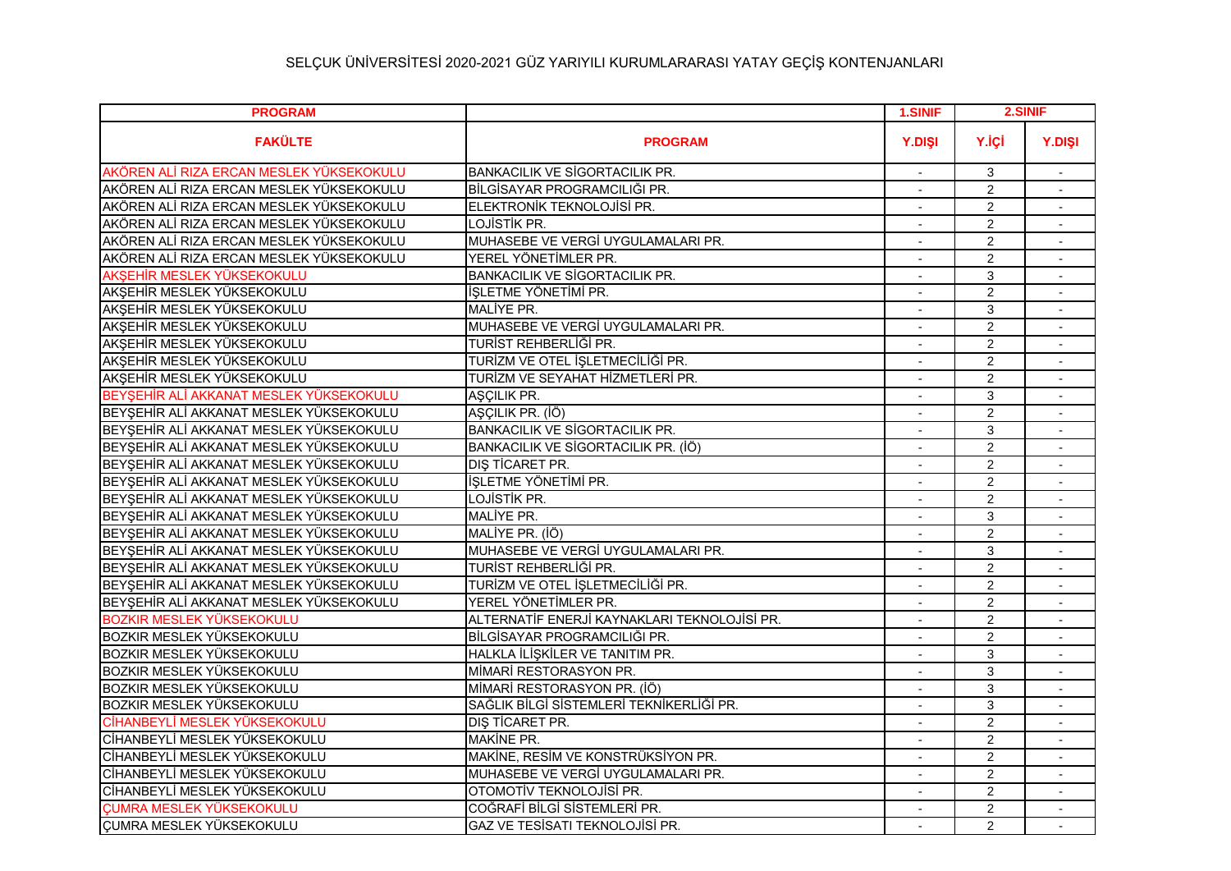| <b>PROGRAM</b>                           |                                              | 1.SINIF        |                | 2.SINIF                     |
|------------------------------------------|----------------------------------------------|----------------|----------------|-----------------------------|
| <b>FAKÜLTE</b>                           | <b>PROGRAM</b>                               | <b>Y.DISI</b>  | Y.İÇİ          | <b>Y.DISI</b>               |
| AKÖREN ALİ RIZA ERCAN MESLEK YÜKSEKOKULU | <b>BANKACILIK VE SİGORTACILIK PR.</b>        |                | 3              | $\overline{a}$              |
| AKÖREN ALİ RIZA ERCAN MESLEK YÜKSEKOKULU | BİLGİSAYAR PROGRAMCILIĞI PR.                 |                | $\overline{2}$ |                             |
| AKÖREN ALİ RIZA ERCAN MESLEK YÜKSEKOKULU | ELEKTRONİK TEKNOLOJİSİ PR.                   | $\blacksquare$ | $\overline{2}$ | $\sim$                      |
| AKÖREN ALİ RIZA ERCAN MESLEK YÜKSEKOKULU | LOJİSTİK PR.                                 |                | $\overline{2}$ |                             |
| AKÖREN ALİ RIZA ERCAN MESLEK YÜKSEKOKULU | MUHASEBE VE VERGİ UYGULAMALARI PR.           |                | $\overline{2}$ |                             |
| AKÖREN ALİ RIZA ERCAN MESLEK YÜKSEKOKULU | YEREL YÖNETİMLER PR.                         |                | $\overline{2}$ |                             |
| AKŞEHİR MESLEK YÜKSEKOKULU               | <b>BANKACILIK VE SİGORTACILIK PR.</b>        | $\overline{a}$ | 3              | $\mathcal{L}_{\mathcal{A}}$ |
| AKŞEHİR MESLEK YÜKSEKOKULU               | İŞLETME YÖNETİMİ PR.                         |                | $\overline{2}$ |                             |
| AKŞEHİR MESLEK YÜKSEKOKULU               | MALİYE PR.                                   |                | 3              |                             |
| AKŞEHİR MESLEK YÜKSEKOKULU               | MUHASEBE VE VERGİ UYGULAMALARI PR.           |                | $\overline{2}$ |                             |
| AKŞEHİR MESLEK YÜKSEKOKULU               | TURİST REHBERLİĞİ PR.                        |                | $\overline{2}$ |                             |
| AKŞEHİR MESLEK YÜKSEKOKULU               | TURİZM VE OTEL İŞLETMECİLİĞİ PR.             | $\blacksquare$ | $\overline{2}$ | $\sim$                      |
| AKŞEHİR MESLEK YÜKSEKOKULU               | TURİZM VE SEYAHAT HİZMETLERİ PR.             |                | $\overline{2}$ |                             |
| BEYŞEHİR ALİ AKKANAT MESLEK YÜKSEKOKULU  | AŞÇILIK PR.                                  |                | 3              | $\sim$                      |
| BEYŞEHİR ALİ AKKANAT MESLEK YÜKSEKOKULU  | AŞÇILIK PR. (İÖ)                             |                | $\overline{2}$ |                             |
| BEYŞEHİR ALİ AKKANAT MESLEK YÜKSEKOKULU  | <b>BANKACILIK VE SİGORTACILIK PR.</b>        | $\blacksquare$ | 3              | $\sim$                      |
| BEYŞEHİR ALİ AKKANAT MESLEK YÜKSEKOKULU  | BANKACILIK VE SİGORTACILIK PR. (İÖ)          |                | 2              |                             |
| BEYŞEHİR ALİ AKKANAT MESLEK YÜKSEKOKULU  | DIŞ TİCARET PR.                              |                | $\overline{2}$ | $\overline{a}$              |
| BEYŞEHİR ALİ AKKANAT MESLEK YÜKSEKOKULU  | İŞLETME YÖNETİMİ PR.                         |                | $\overline{2}$ |                             |
| BEYŞEHİR ALİ AKKANAT MESLEK YÜKSEKOKULU  | LOJİSTİK PR.                                 | $\blacksquare$ | $\overline{2}$ | $\blacksquare$              |
| BEYŞEHİR ALİ AKKANAT MESLEK YÜKSEKOKULU  | MALİYE PR.                                   | $\blacksquare$ | 3              | $\sim$                      |
| BEYŞEHİR ALİ AKKANAT MESLEK YÜKSEKOKULU  | MALİYE PR. (İÖ)                              |                | $\overline{2}$ |                             |
| BEYSEHİR ALİ AKKANAT MESLEK YÜKSEKOKULU  | MUHASEBE VE VERGİ UYGULAMALARI PR.           |                | 3              |                             |
| BEYŞEHİR ALİ AKKANAT MESLEK YÜKSEKOKULU  | TURİST REHBERLİĞİ PR.                        |                | $\overline{2}$ |                             |
| BEYŞEHİR ALİ AKKANAT MESLEK YÜKSEKOKULU  | TURİZM VE OTEL İŞLETMECİLİĞİ PR.             |                | $\overline{2}$ |                             |
| BEYSEHİR ALİ AKKANAT MESLEK YÜKSEKOKULU  | YEREL YÖNETİMLER PR.                         |                | $\overline{2}$ |                             |
| <b>BOZKIR MESLEK YÜKSEKOKULU</b>         | ALTERNATİF ENERJİ KAYNAKLARI TEKNOLOJİSİ PR. |                | $\overline{2}$ | $\sim$                      |
| BOZKIR MESLEK YÜKSEKOKULU                | BİLGİSAYAR PROGRAMCILIĞI PR.                 |                | 2              |                             |
| BOZKIR MESLEK YÜKSEKOKULU                | HALKLA İLİŞKİLER VE TANITIM PR.              | $\blacksquare$ | 3              | $\sim$                      |
| BOZKIR MESLEK YÜKSEKOKULU                | MİMARİ RESTORASYON PR.                       |                | 3              |                             |
| BOZKIR MESLEK YÜKSEKOKULU                | MİMARİ RESTORASYON PR. (İÖ)                  |                | 3              | $\blacksquare$              |
| BOZKIR MESLEK YÜKSEKOKULU                | SAĞLIK BİLGİ SİSTEMLERİ TEKNİKERLİĞİ PR.     |                | 3              |                             |
| CİHANBEYLİ MESLEK YÜKSEKOKULU            | DIŞ TİCARET PR.                              | $\blacksquare$ | $\overline{2}$ | $\sim$                      |
| CİHANBEYLİ MESLEK YÜKSEKOKULU            | MAKİNE PR.                                   |                | $\overline{2}$ |                             |
| CİHANBEYLİ MESLEK YÜKSEKOKULU            | MAKİNE, RESİM VE KONSTRÜKSİYON PR.           |                | $\overline{2}$ | $\blacksquare$              |
| CİHANBEYLİ MESLEK YÜKSEKOKULU            | MUHASEBE VE VERGİ UYGULAMALARI PR.           |                | $\overline{2}$ |                             |
| CİHANBEYLİ MESLEK YÜKSEKOKULU            | OTOMOTİV TEKNOLOJİSİ PR.                     | $\overline{a}$ | $\overline{2}$ | $\blacksquare$              |
| <b>CUMRA MESLEK YÜKSEKOKULU</b>          | COĞRAFİ BİLGİ SİSTEMLERİ PR.                 |                | $\overline{2}$ | $\sim$                      |
| <b>CUMRA MESLEK YÜKSEKOKULU</b>          | GAZ VE TESİSATI TEKNOLOJİSİ PR.              |                | $\overline{2}$ |                             |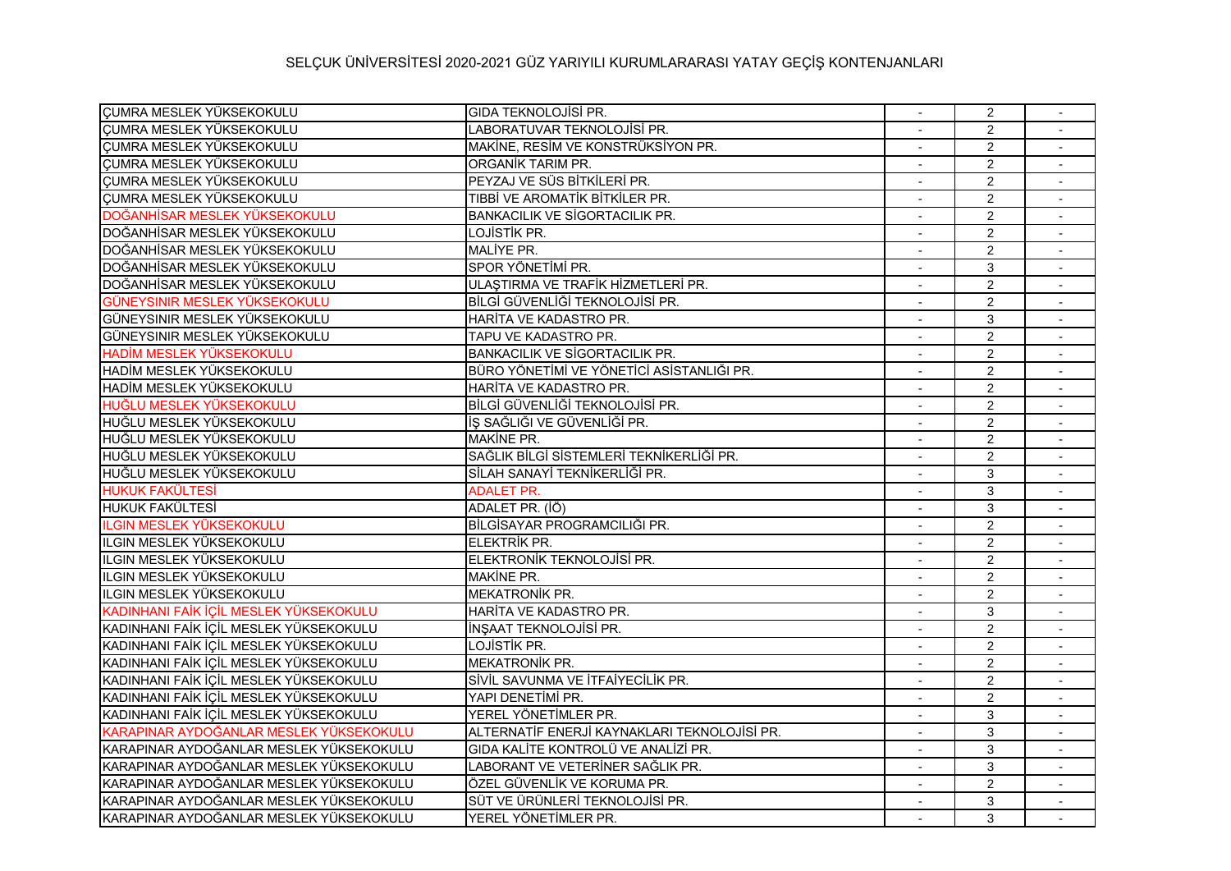## SELÇUK ÜNİVERSİTESİ 2020-2021 GÜZ YARIYILI KURUMLARARASI YATAY GEÇİŞ KONTENJANLARI

| CUMRA MESLEK YÜKSEKOKULU                | <b>GIDA TEKNOLOJİSİ PR.</b>                  |                          | $\overline{2}$ |        |
|-----------------------------------------|----------------------------------------------|--------------------------|----------------|--------|
| CUMRA MESLEK YÜKSEKOKULU                | LABORATUVAR TEKNOLOJİSİ PR.                  |                          | $\overline{2}$ |        |
| CUMRA MESLEK YÜKSEKOKULU                | MAKİNE, RESİM VE KONSTRÜKSİYON PR.           | $\blacksquare$           | $\overline{2}$ | $\sim$ |
| CUMRA MESLEK YÜKSEKOKULU                | ORGANIK TARIM PR.                            |                          | $\overline{2}$ |        |
| <b>ÇUMRA MESLEK YÜKSEKOKULU</b>         | PEYZAJ VE SÜS BİTKİLERİ PR.                  |                          | $\overline{2}$ |        |
| <b>CUMRA MESLEK YÜKSEKOKULU</b>         | TIBBİ VE AROMATİK BİTKİLER PR.               |                          | $\overline{2}$ |        |
| DOĞANHİSAR MESLEK YÜKSEKOKULU           | <b>BANKACILIK VE SİGORTACILIK PR.</b>        | $\blacksquare$           | $\overline{2}$ | $\sim$ |
| DOĞANHİSAR MESLEK YÜKSEKOKULU           | LOJİSTİK PR.                                 |                          | $\overline{2}$ |        |
| DOĞANHİSAR MESLEK YÜKSEKOKULU           | MALİYE PR.                                   |                          | $\overline{2}$ |        |
| DOĞANHİSAR MESLEK YÜKSEKOKULU           | SPOR YÖNETİMİ PR.                            |                          | 3              |        |
| DOĞANHİSAR MESLEK YÜKSEKOKULU           | ULAȘTIRMA VE TRAFİK HİZMETLERİ PR.           |                          | $\overline{2}$ |        |
| GÜNEYSINIR MESLEK YÜKSEKOKULU           | BİLGİ GÜVENLİĞİ TEKNOLOJİSİ PR.              | $\blacksquare$           | $\overline{2}$ | $\sim$ |
| GÜNEYSINIR MESLEK YÜKSEKOKULU           | HARITA VE KADASTRO PR.                       |                          | 3              |        |
| GÜNEYSINIR MESLEK YÜKSEKOKULU           | TAPU VE KADASTRO PR.                         |                          | $\overline{2}$ |        |
| HADİM MESLEK YÜKSEKOKULU                | <b>BANKACILIK VE SİGORTACILIK PR.</b>        |                          | $\overline{2}$ |        |
| HADİM MESLEK YÜKSEKOKULU                | BÜRO YÖNETİMİ VE YÖNETİCİ ASİSTANLIĞI PR.    | $\overline{a}$           | $\overline{2}$ |        |
| HADİM MESLEK YÜKSEKOKULU                | HARITA VE KADASTRO PR.                       | $\blacksquare$           | $\overline{2}$ |        |
| HUĞLU MESLEK YÜKSEKOKULU                | BİLGİ GÜVENLİĞİ TEKNOLOJİSİ PR.              |                          | $\overline{2}$ |        |
| HUĞLU MESLEK YÜKSEKOKULU                | İŞ SAĞLIĞI VE GÜVENLİĞİ PR.                  |                          | $\overline{2}$ |        |
| HUĞLU MESLEK YÜKSEKOKULU                | MAKINE PR.                                   |                          | $\overline{2}$ |        |
| HUĞLU MESLEK YÜKSEKOKULU                | SAĞLIK BİLGİ SİSTEMLERİ TEKNİKERLİĞİ PR.     | $\overline{\phantom{a}}$ | $\overline{2}$ | $\sim$ |
| HUĞLU MESLEK YÜKSEKOKULU                | SİLAH SANAYİ TEKNİKERLİĞİ PR.                |                          | 3              |        |
| <b>HUKUK FAKÜLTESİ</b>                  | <b>ADALET PR.</b>                            |                          | 3              | $\sim$ |
| HUKUK FAKÜLTESİ                         | ADALET PR. (İÖ)                              |                          | $\overline{3}$ |        |
| <b>ILGIN MESLEK YÜKSEKOKULU</b>         | BİLGİSAYAR PROGRAMCILIĞI PR.                 | $\overline{a}$           | $\overline{2}$ |        |
| ILGIN MESLEK YÜKSEKOKULU                | ELEKTRİK PR.                                 |                          | $\overline{2}$ |        |
| ILGIN MESLEK YÜKSEKOKULU                | ELEKTRONİK TEKNOLOJİSİ PR.                   |                          | $\overline{2}$ |        |
| ILGIN MESLEK YÜKSEKOKULU                | MAKİNE PR.                                   |                          | $\overline{2}$ |        |
| ILGIN MESLEK YÜKSEKOKULU                | <b>MEKATRONİK PR.</b>                        |                          | $\overline{2}$ |        |
| KADINHANI FAİK İÇİL MESLEK YÜKSEKOKULU  | HARITA VE KADASTRO PR.                       | $\blacksquare$           | 3              | $\sim$ |
| KADINHANI FAİK İÇİL MESLEK YÜKSEKOKULU  | İNŞAAT TEKNOLOJİSİ PR.                       |                          | $\overline{2}$ |        |
| KADINHANI FAİK İÇİL MESLEK YÜKSEKOKULU  | LOJİSTİK PR.                                 |                          | $\overline{2}$ |        |
| KADINHANI FAİK İÇİL MESLEK YÜKSEKOKULU  | <b>MEKATRONİK PR.</b>                        |                          | $\overline{2}$ |        |
| KADINHANI FAİK İÇİL MESLEK YÜKSEKOKULU  | SİVİL SAVUNMA VE İTFAİYECİLİK PR.            |                          | $\overline{2}$ |        |
| KADINHANI FAİK İÇİL MESLEK YÜKSEKOKULU  | YAPI DENETİMİ PR.                            | $\blacksquare$           | $\overline{2}$ | $\sim$ |
| KADINHANI FAİK İÇİL MESLEK YÜKSEKOKULU  | YEREL YÖNETİMLER PR.                         |                          | 3              |        |
| KARAPINAR AYDOĞANLAR MESLEK YÜKSEKOKULU | ALTERNATİF ENERJİ KAYNAKLARI TEKNOLOJİSİ PR. |                          | 3              | $\sim$ |
| KARAPINAR AYDOĞANLAR MESLEK YÜKSEKOKULU | GIDA KALİTE KONTROLÜ VE ANALİZİ PR.          |                          | 3              |        |
| KARAPINAR AYDOĞANLAR MESLEK YÜKSEKOKULU | LABORANT VE VETERİNER SAĞLIK PR.             | $\sim$                   | 3              | $\sim$ |
| KARAPINAR AYDOĞANLAR MESLEK YÜKSEKOKULU | ÖZEL GÜVENLİK VE KORUMA PR.                  |                          | $\overline{2}$ |        |
| KARAPINAR AYDOĞANLAR MESLEK YÜKSEKOKULU | SÜT VE ÜRÜNLERİ TEKNOLOJİSİ PR.              |                          | 3              |        |
| KARAPINAR AYDOĞANLAR MESLEK YÜKSEKOKULU | YEREL YÖNETİMLER PR.                         |                          | 3              |        |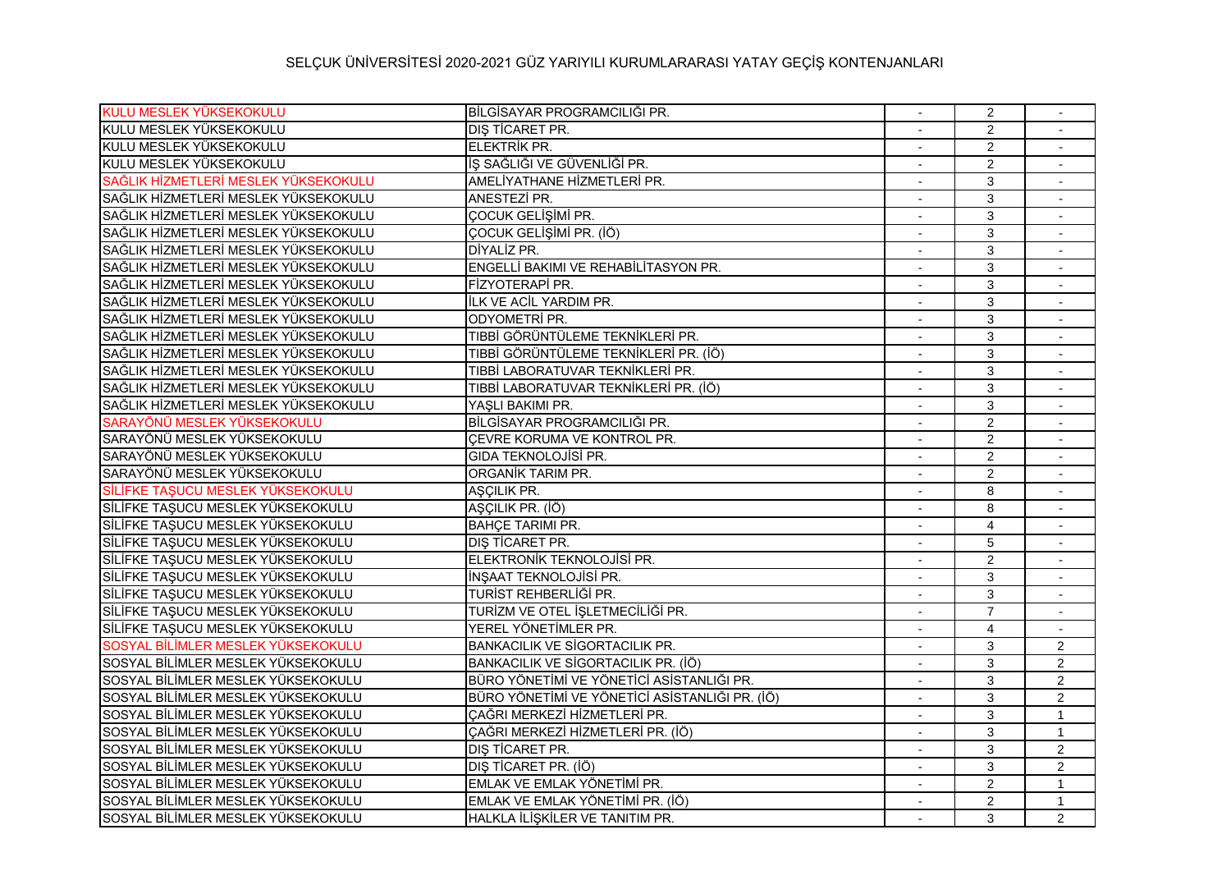## SELÇUK ÜNİVERSİTESİ 2020-2021 GÜZ YARIYILI KURUMLARARASI YATAY GEÇİŞ KONTENJANLARI

| KULU MESLEK YÜKSEKOKULU              | BİLGİSAYAR PROGRAMCILIĞI PR.                   |                | 2              |                |
|--------------------------------------|------------------------------------------------|----------------|----------------|----------------|
| KULU MESLEK YÜKSEKOKULU              | DIS TİCARET PR.                                |                | 2              | $\sim$         |
| KULU MESLEK YÜKSEKOKULU              | <b>ELEKTRİK PR.</b>                            |                | $\overline{2}$ | $\sim$         |
| KULU MESLEK YÜKSEKOKULU              | İŞ SAĞLIĞI VE GÜVENLİĞİ PR.                    |                | $\overline{2}$ |                |
| SAĞLIK HİZMETLERİ MESLEK YÜKSEKOKULU | AMELİYATHANE HİZMETLERİ PR.                    |                | 3              |                |
| SAĞLIK HİZMETLERİ MESLEK YÜKSEKOKULU | ANESTEZİ PR.                                   |                | 3              |                |
| SAĞLIK HİZMETLERİ MESLEK YÜKSEKOKULU | ÇOCUK GELİŞİMİ PR.                             | $\overline{a}$ | 3              | $\sim$         |
| SAĞLIK HİZMETLERİ MESLEK YÜKSEKOKULU | ÇOCUK GELİŞİMİ PR. (İÖ)                        |                | 3              |                |
| SAĞLIK HİZMETLERİ MESLEK YÜKSEKOKULU | DİYALİZ PR.                                    |                | 3              |                |
| SAĞLIK HİZMETLERİ MESLEK YÜKSEKOKULU | ENGELLİ BAKIMI VE REHABİLİTASYON PR.           |                | 3              |                |
| SAĞLIK HİZMETLERİ MESLEK YÜKSEKOKULU | FİZYOTERAPİ PR.                                |                | 3              |                |
| SAĞLIK HİZMETLERİ MESLEK YÜKSEKOKULU | ILK VE ACIL YARDIM PR.                         |                | 3              | $\sim$         |
| SAĞLIK HİZMETLERİ MESLEK YÜKSEKOKULU | <b>ODYOMETRİ PR.</b>                           |                | 3              |                |
| SAĞLIK HİZMETLERİ MESLEK YÜKSEKOKULU | TIBBİ GÖRÜNTÜLEME TEKNİKLERİ PR.               |                | 3              | $\sim$         |
| SAĞLIK HİZMETLERİ MESLEK YÜKSEKOKULU | TIBBİ GÖRÜNTÜLEME TEKNİKLERİ PR. (İÖ)          |                | $\overline{3}$ |                |
| SAĞLIK HIZMETLERİ MESLEK YÜKSEKOKULU | TIBBİ LABORATUVAR TEKNİKLERİ PR.               | $\sim$         | 3              | $\sim$         |
| SAĞLIK HİZMETLERİ MESLEK YÜKSEKOKULU | TIBBİ LABORATUVAR TEKNİKLERİ PR. (İÖ)          |                | 3              |                |
| SAĞLIK HİZMETLERİ MESLEK YÜKSEKOKULU | YAŞLI BAKIMI PR.                               |                | 3              |                |
| SARAYÖNÜ MESLEK YÜKSEKOKULU          | BİLGİSAYAR PROGRAMCILIĞI PR.                   |                | 2              | $\sim$         |
| SARAYÖNÜ MESLEK YÜKSEKOKULU          | CEVRE KORUMA VE KONTROL PR.                    |                | $\overline{2}$ |                |
| SARAYÖNÜ MESLEK YÜKSEKOKULU          | GIDA TEKNOLOJISI PR.                           |                | $\overline{2}$ | $\sim$         |
| SARAYÖNÜ MESLEK YÜKSEKOKULU          | ORGANİK TARIM PR.                              |                | $\overline{2}$ |                |
| SİLİFKE TAŞUCU MESLEK YÜKSEKOKULU    | AŞÇILIK PR.                                    |                | 8              | $\sim$         |
| SİLİFKE TAŞUCU MESLEK YÜKSEKOKULU    | AŞÇILIK PR. (İÖ)                               |                | 8              |                |
| SİLİFKE TAŞUCU MESLEK YÜKSEKOKULU    | <b>BAHCE TARIMI PR.</b>                        | $\overline{a}$ | $\overline{4}$ | $\blacksquare$ |
| SİLİFKE TAŞUCU MESLEK YÜKSEKOKULU    | <b>DIŞ TİCARET PR.</b>                         |                | 5              |                |
| SİLİFKE TAŞUCU MESLEK YÜKSEKOKULU    | ELEKTRONİK TEKNOLOJİSİ PR.                     |                | $\overline{2}$ |                |
| SİLİFKE TAŞUCU MESLEK YÜKSEKOKULU    | <b>INŞAAT TEKNOLOJISİ PR.</b>                  |                | 3              |                |
| SİLİFKE TAŞUCU MESLEK YÜKSEKOKULU    | TURİST REHBERLİĞİ PR.                          |                | 3              |                |
| SİLİFKE TAŞUCU MESLEK YÜKSEKOKULU    | TURİZM VE OTEL İSLETMECİLİĞİ PR.               |                | $\overline{7}$ | $\sim$         |
| SİLİFKE TAŞUCU MESLEK YÜKSEKOKULU    | YEREL YÖNETİMLER PR.                           |                | 4              |                |
| SOSYAL BİLİMLER MESLEK YÜKSEKOKULU   | <b>BANKACILIK VE SİGORTACILIK PR.</b>          |                | 3              | $\overline{2}$ |
| SOSYAL BİLİMLER MESLEK YÜKSEKOKULU   | BANKACILIK VE SİGORTACILIK PR. (İÖ)            |                | 3              | $\overline{2}$ |
| SOSYAL BİLİMLER MESLEK YÜKSEKOKULU   | BÜRO YÖNETİMİ VE YÖNETİCİ ASİSTANLIĞI PR.      |                | 3              | $\overline{2}$ |
| SOSYAL BİLİMLER MESLEK YÜKSEKOKULU   | BÜRO YÖNETİMİ VE YÖNETİCİ ASİSTANLIĞI PR. (İÖ) | $\overline{a}$ | 3              | $\overline{2}$ |
| SOSYAL BİLİMLER MESLEK YÜKSEKOKULU   | ÇAĞRI MERKEZİ HİZMETLERİ PR.                   |                | 3              | $\mathbf{1}$   |
| SOSYAL BİLİMLER MESLEK YÜKSEKOKULU   | ÇAĞRI MERKEZİ HİZMETLERİ PR. (İÖ)              |                | 3              | $\mathbf{1}$   |
| SOSYAL BİLİMLER MESLEK YÜKSEKOKULU   | DIS TİCARET PR.                                |                | 3              | $\overline{2}$ |
| SOSYAL BİLİMLER MESLEK YÜKSEKOKULU   | DIŞ TİCARET PR. (İÖ)                           | $\sim$         | 3              | $\overline{2}$ |
| SOSYAL BİLİMLER MESLEK YÜKSEKOKULU   | EMLAK VE EMLAK YÖNETİMİ PR.                    |                | $\overline{2}$ | $\mathbf{1}$   |
| SOSYAL BİLİMLER MESLEK YÜKSEKOKULU   | EMLAK VE EMLAK YÖNETİMİ PR. (İÖ)               |                | 2              | $\mathbf{1}$   |
| SOSYAL BİLİMLER MESLEK YÜKSEKOKULU   | HALKLA İLİŞKİLER VE TANITIM PR.                |                | 3              | $\overline{2}$ |